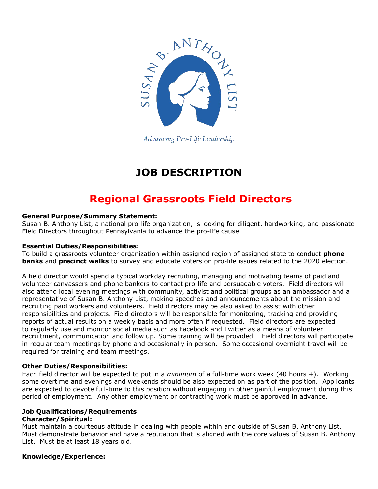

Advancing Pro-Life Leadership

# **JOB DESCRIPTION**

## **Regional Grassroots Field Directors**

#### **General Purpose/Summary Statement:**

Susan B. Anthony List, a national pro-life organization, is looking for diligent, hardworking, and passionate Field Directors throughout Pennsylvania to advance the pro-life cause.

#### **Essential Duties/Responsibilities:**

To build a grassroots volunteer organization within assigned region of assigned state to conduct **phone banks** and **precinct walks** to survey and educate voters on pro-life issues related to the 2020 election.

A field director would spend a typical workday recruiting, managing and motivating teams of paid and volunteer canvassers and phone bankers to contact pro-life and persuadable voters. Field directors will also attend local evening meetings with community, activist and political groups as an ambassador and a representative of Susan B. Anthony List, making speeches and announcements about the mission and recruiting paid workers and volunteers. Field directors may be also asked to assist with other responsibilities and projects. Field directors will be responsible for monitoring, tracking and providing reports of actual results on a weekly basis and more often if requested. Field directors are expected to regularly use and monitor social media such as Facebook and Twitter as a means of volunteer recruitment, communication and follow up. Some training will be provided. Field directors will participate in regular team meetings by phone and occasionally in person. Some occasional overnight travel will be required for training and team meetings.

#### **Other Duties/Responsibilities:**

Each field director will be expected to put in a *minimum* of a full-time work week (40 hours +). Working some overtime and evenings and weekends should be also expected on as part of the position. Applicants are expected to devote full-time to this position without engaging in other gainful employment during this period of employment. Any other employment or contracting work must be approved in advance.

### **Job Qualifications/Requirements**

#### **Character/Spiritual:**

Must maintain a courteous attitude in dealing with people within and outside of Susan B. Anthony List. Must demonstrate behavior and have a reputation that is aligned with the core values of Susan B. Anthony List. Must be at least 18 years old.

#### **Knowledge/Experience:**